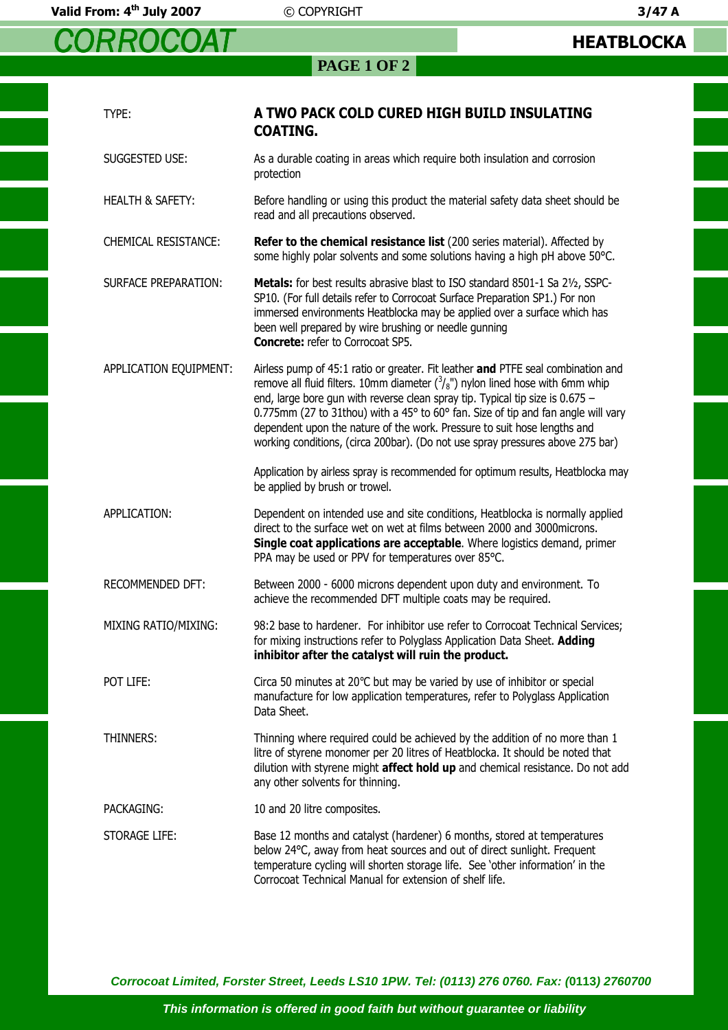*CORROCOAT*

**PAGE 1 OF 2** 

| TYPE:                       | A TWO PACK COLD CURED HIGH BUILD INSULATING<br><b>COATING.</b>                                                                                                                                                                                                                                                                                                                                                                                                                                                   |
|-----------------------------|------------------------------------------------------------------------------------------------------------------------------------------------------------------------------------------------------------------------------------------------------------------------------------------------------------------------------------------------------------------------------------------------------------------------------------------------------------------------------------------------------------------|
| SUGGESTED USE:              | As a durable coating in areas which require both insulation and corrosion<br>protection                                                                                                                                                                                                                                                                                                                                                                                                                          |
| <b>HEALTH &amp; SAFETY:</b> | Before handling or using this product the material safety data sheet should be<br>read and all precautions observed.                                                                                                                                                                                                                                                                                                                                                                                             |
| <b>CHEMICAL RESISTANCE:</b> | Refer to the chemical resistance list (200 series material). Affected by<br>some highly polar solvents and some solutions having a high pH above 50°C.                                                                                                                                                                                                                                                                                                                                                           |
| <b>SURFACE PREPARATION:</b> | Metals: for best results abrasive blast to ISO standard 8501-1 Sa 21/2, SSPC-<br>SP10. (For full details refer to Corrocoat Surface Preparation SP1.) For non<br>immersed environments Heatblocka may be applied over a surface which has<br>been well prepared by wire brushing or needle gunning<br><b>Concrete:</b> refer to Corrocoat SP5.                                                                                                                                                                   |
| APPLICATION EQUIPMENT:      | Airless pump of 45:1 ratio or greater. Fit leather and PTFE seal combination and<br>remove all fluid filters. 10mm diameter $\binom{3}{8}$ ") nylon lined hose with 6mm whip<br>end, large bore gun with reverse clean spray tip. Typical tip size is 0.675 -<br>0.775mm (27 to 31thou) with a 45° to 60° fan. Size of tip and fan angle will vary<br>dependent upon the nature of the work. Pressure to suit hose lengths and<br>working conditions, (circa 200bar). (Do not use spray pressures above 275 bar) |
|                             | Application by airless spray is recommended for optimum results, Heatblocka may<br>be applied by brush or trowel.                                                                                                                                                                                                                                                                                                                                                                                                |
| APPLICATION:                | Dependent on intended use and site conditions, Heatblocka is normally applied<br>direct to the surface wet on wet at films between 2000 and 3000 microns.<br>Single coat applications are acceptable. Where logistics demand, primer<br>PPA may be used or PPV for temperatures over 85°C.                                                                                                                                                                                                                       |
| RECOMMENDED DFT:            | Between 2000 - 6000 microns dependent upon duty and environment. To<br>achieve the recommended DFT multiple coats may be required.                                                                                                                                                                                                                                                                                                                                                                               |
| MIXING RATIO/MIXING:        | 98:2 base to hardener. For inhibitor use refer to Corrocoat Technical Services;<br>for mixing instructions refer to Polyglass Application Data Sheet. <b>Adding</b><br>inhibitor after the catalyst will ruin the product.                                                                                                                                                                                                                                                                                       |
| POT LIFE:                   | Circa 50 minutes at $20^{\circ}$ C but may be varied by use of inhibitor or special<br>manufacture for low application temperatures, refer to Polyglass Application<br>Data Sheet.                                                                                                                                                                                                                                                                                                                               |
| THINNERS:                   | Thinning where required could be achieved by the addition of no more than 1<br>litre of styrene monomer per 20 litres of Heatblocka. It should be noted that<br>dilution with styrene might affect hold up and chemical resistance. Do not add<br>any other solvents for thinning.                                                                                                                                                                                                                               |
| PACKAGING:                  | 10 and 20 litre composites.                                                                                                                                                                                                                                                                                                                                                                                                                                                                                      |
| STORAGE LIFE:               | Base 12 months and catalyst (hardener) 6 months, stored at temperatures<br>below 24°C, away from heat sources and out of direct sunlight. Frequent<br>temperature cycling will shorten storage life. See 'other information' in the<br>Corrocoat Technical Manual for extension of shelf life.                                                                                                                                                                                                                   |

**Corrocoat Limited, Forster Street, Leeds LS10 1PW. Tel: (0113) 276 0760. Fax: (0113) 2760700**